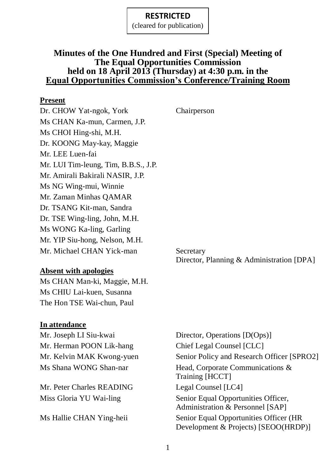(cleared for publication)

## **Minutes of the One Hundred and First (Special) Meeting of The Equal Opportunities Commission held on 18 April 2013 (Thursday) at 4:30 p.m. in the Equal Opportunities Commission's Conference/Training Room**

#### **Present**

Dr. CHOW Yat-ngok, York Chairperson Ms CHAN Ka-mun, Carmen, J.P. Ms CHOI Hing-shi, M.H. Dr. KOONG May-kay, Maggie Mr. LEE Luen-fai Mr. LUI Tim-leung, Tim, B.B.S., J.P. Mr. Amirali Bakirali NASIR, J.P. Ms NG Wing-mui, Winnie Mr. Zaman Minhas QAMAR Dr. TSANG Kit-man, Sandra Dr. TSE Wing-ling, John, M.H. Ms WONG Ka-ling, Garling Mr. YIP Siu-hong, Nelson, M.H. Mr. Michael CHAN Yick-man Secretary

**Absent with apologies**

Ms CHAN Man-ki, Maggie, M.H. Ms CHIU Lai-kuen, Susanna The Hon TSE Wai-chun, Paul

#### **In attendance**

Mr. Joseph LI Siu-kwai Director, Operations [D(Ops)] Mr. Herman POON Lik-hang Chief Legal Counsel [CLC]

Mr. Peter Charles READING Legal Counsel [LC4]

Mr. Kelvin MAK Kwong-yuen Senior Policy and Research Officer [SPRO2] Ms Shana WONG Shan-nar Head, Corporate Communications & Training [HCCT] Miss Gloria YU Wai-ling Senior Equal Opportunities Officer, Administration & Personnel [SAP] Ms Hallie CHAN Ying-heii Senior Equal Opportunities Officer (HR Development & Projects) [SEOO(HRDP)]

Director, Planning & Administration [DPA]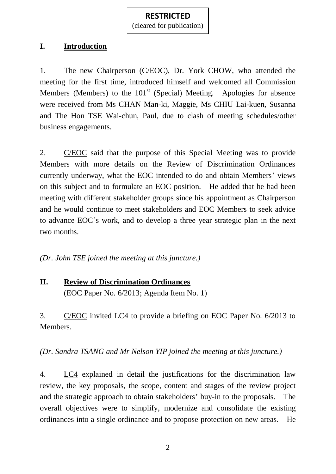(cleared for publication)

## **I. Introduction**

1. The new Chairperson (C/EOC), Dr. York CHOW, who attended the meeting for the first time, introduced himself and welcomed all Commission Members (Members) to the  $101<sup>st</sup>$  (Special) Meeting. Apologies for absence were received from Ms CHAN Man-ki, Maggie, Ms CHIU Lai-kuen, Susanna and The Hon TSE Wai-chun, Paul, due to clash of meeting schedules/other business engagements.

2. C/EOC said that the purpose of this Special Meeting was to provide Members with more details on the Review of Discrimination Ordinances currently underway, what the EOC intended to do and obtain Members' views on this subject and to formulate an EOC position. He added that he had been meeting with different stakeholder groups since his appointment as Chairperson and he would continue to meet stakeholders and EOC Members to seek advice to advance EOC's work, and to develop a three year strategic plan in the next two months.

*(Dr. John TSE joined the meeting at this juncture.)*

# **II. Review of Discrimination Ordinances** (EOC Paper No. 6/2013; Agenda Item No. 1)

3. C/EOC invited LC4 to provide a briefing on EOC Paper No. 6/2013 to Members.

*(Dr. Sandra TSANG and Mr Nelson YIP joined the meeting at this juncture.)*

4. LC4 explained in detail the justifications for the discrimination law review, the key proposals, the scope, content and stages of the review project and the strategic approach to obtain stakeholders' buy-in to the proposals. The overall objectives were to simplify, modernize and consolidate the existing ordinances into a single ordinance and to propose protection on new areas. He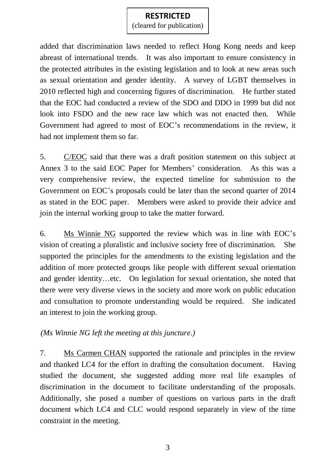(cleared for publication)

added that discrimination laws needed to reflect Hong Kong needs and keep abreast of international trends. It was also important to ensure consistency in the protected attributes in the existing legislation and to look at new areas such as sexual orientation and gender identity. A survey of LGBT themselves in 2010 reflected high and concerning figures of discrimination. He further stated that the EOC had conducted a review of the SDO and DDO in 1999 but did not look into FSDO and the new race law which was not enacted then. While Government had agreed to most of EOC's recommendations in the review, it had not implement them so far.

5. C/EOC said that there was a draft position statement on this subject at Annex 3 to the said EOC Paper for Members' consideration. As this was a very comprehensive review, the expected timeline for submission to the Government on EOC's proposals could be later than the second quarter of 2014 as stated in the EOC paper. Members were asked to provide their advice and join the internal working group to take the matter forward.

6. Ms Winnie NG supported the review which was in line with EOC's vision of creating a pluralistic and inclusive society free of discrimination. She supported the principles for the amendments to the existing legislation and the addition of more protected groups like people with different sexual orientation and gender identity…etc. On legislation for sexual orientation, she noted that there were very diverse views in the society and more work on public education and consultation to promote understanding would be required. She indicated an interest to join the working group.

## *(Ms Winnie NG left the meeting at this juncture.)*

7. Ms Carmen CHAN supported the rationale and principles in the review and thanked LC4 for the effort in drafting the consultation document. Having studied the document, she suggested adding more real life examples of discrimination in the document to facilitate understanding of the proposals. Additionally, she posed a number of questions on various parts in the draft document which LC4 and CLC would respond separately in view of the time constraint in the meeting.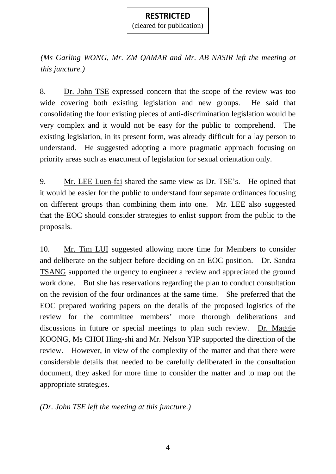(cleared for publication)

*(Ms Garling WONG, Mr. ZM QAMAR and Mr. AB NASIR left the meeting at this juncture.)*

8. Dr. John TSE expressed concern that the scope of the review was too wide covering both existing legislation and new groups. He said that consolidating the four existing pieces of anti-discrimination legislation would be very complex and it would not be easy for the public to comprehend. The existing legislation, in its present form, was already difficult for a lay person to understand. He suggested adopting a more pragmatic approach focusing on priority areas such as enactment of legislation for sexual orientation only.

9. Mr. LEE Luen-fai shared the same view as Dr. TSE's. He opined that it would be easier for the public to understand four separate ordinances focusing on different groups than combining them into one. Mr. LEE also suggested that the EOC should consider strategies to enlist support from the public to the proposals.

10. Mr. Tim LUI suggested allowing more time for Members to consider and deliberate on the subject before deciding on an EOC position. Dr. Sandra TSANG supported the urgency to engineer a review and appreciated the ground work done. But she has reservations regarding the plan to conduct consultation on the revision of the four ordinances at the same time. She preferred that the EOC prepared working papers on the details of the proposed logistics of the review for the committee members' more thorough deliberations and discussions in future or special meetings to plan such review. Dr. Maggie KOONG, Ms CHOI Hing-shi and Mr. Nelson YIP supported the direction of the review. However, in view of the complexity of the matter and that there were considerable details that needed to be carefully deliberated in the consultation document, they asked for more time to consider the matter and to map out the appropriate strategies.

*(Dr. John TSE left the meeting at this juncture.)*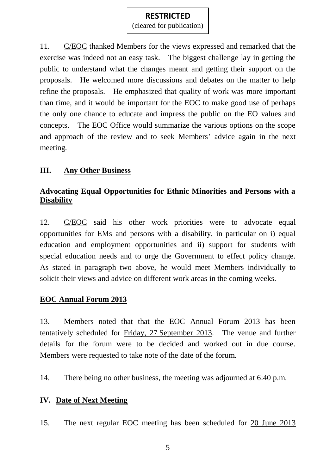(cleared for publication)

11. C/EOC thanked Members for the views expressed and remarked that the exercise was indeed not an easy task. The biggest challenge lay in getting the public to understand what the changes meant and getting their support on the proposals. He welcomed more discussions and debates on the matter to help refine the proposals. He emphasized that quality of work was more important than time, and it would be important for the EOC to make good use of perhaps the only one chance to educate and impress the public on the EO values and concepts. The EOC Office would summarize the various options on the scope and approach of the review and to seek Members' advice again in the next meeting.

## **III. Any Other Business**

## **Advocating Equal Opportunities for Ethnic Minorities and Persons with a Disability**

12. C/EOC said his other work priorities were to advocate equal opportunities for EMs and persons with a disability, in particular on i) equal education and employment opportunities and ii) support for students with special education needs and to urge the Government to effect policy change. As stated in paragraph two above, he would meet Members individually to solicit their views and advice on different work areas in the coming weeks.

# **EOC Annual Forum 2013**

13. Members noted that that the EOC Annual Forum 2013 has been tentatively scheduled for Friday, 27 September 2013. The venue and further details for the forum were to be decided and worked out in due course. Members were requested to take note of the date of the forum.

14. There being no other business, the meeting was adjourned at 6:40 p.m.

## **IV. Date of Next Meeting**

15. The next regular EOC meeting has been scheduled for 20 June 2013